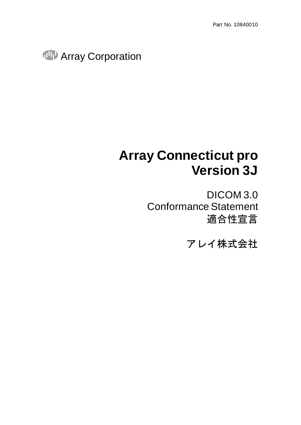**Array Corporation** 

# **Array Connecticut pro Version 3J**

DICOM 3.0 Conformance Statement 適合性宣言

アレイ株式会社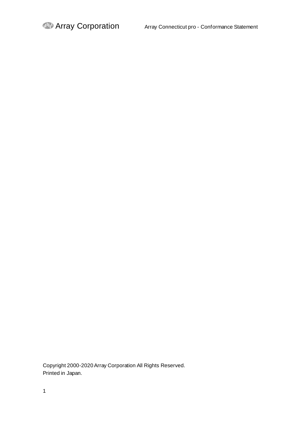Copyright 2000-2020Array Corporation All Rights Reserved. Printed in Japan.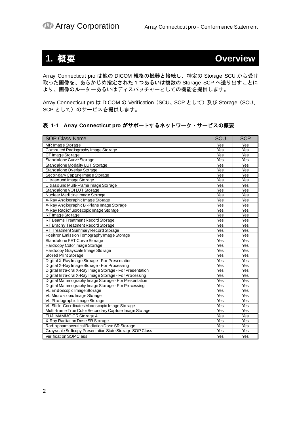## <span id="page-2-0"></span>**1.** 概要 **Overview**

Array Connecticut pro は他の DICOM 規格の機器と接続し、特定の Storage SCU から受け 取った画像を、あらかじめ指定された1つあるいは複数の Storage SCP へ送り出すことに より、画像のルーターあるいはディスパッチャーとしての機能を提供します。

Array Connecticut pro は DICOM の Verification (SCU、SCP として) 及び Storage (SCU、 SCP として)のサービスを提供します。

#### 表 **1-1 Array Connecticut pro** がサポートするネットワーク・サービスの概要

| <b>SOP Class Name</b>                                     | SCU | <b>SCP</b> |
|-----------------------------------------------------------|-----|------------|
| MR Image Storage                                          | Yes | Yes        |
| Computed Radiography Image Storage                        | Yes | Yes        |
| CT Image Storage                                          | Yes | Yes        |
| Standalone Curve Storage                                  | Yes | Yes        |
| Standalone Modality LUT Storage                           | Yes | Yes        |
| Standalone Overlay Storage                                | Yes | Yes        |
| Secondary Capture Image Storage                           | Yes | Yes        |
| Ultrasound Image Storage                                  | Yes | Yes        |
| Ultrasound Multi-Frame Image Storage                      | Yes | Yes        |
| Standalone VOI LUT Storage                                | Yes | Yes        |
| Nuclear Medicine Image Storage                            | Yes | Yes        |
| X-Ray Angiographic Image Storage                          | Yes | Yes        |
| X-Ray Angiographic Bi-Plane Image Storage                 | Yes | Yes        |
| X-Ray Radiofluoroscopic Image Storage                     | Yes | Yes        |
| RT Image Storage                                          | Yes | Yes        |
| RT Beams Treatment Record Storage                         | Yes | Yes        |
| RT Brachy Treatment Record Storage                        | Yes | Yes        |
| RT Treatment Summary Record Storage                       | Yes | Yes        |
| Positron Emission Tomography Image Storage                | Yes | Yes        |
| Standalone PET Curve Storage                              | Yes | Yes        |
| Hardcopy Color Image Storage                              | Yes | Yes        |
| Hardcopy Grayscale Image Storage                          | Yes | Yes        |
| Stored Print Storage                                      | Yes | Yes        |
| Digital X-Ray Image Storage - For Presentation            | Yes | Yes        |
| Digital X-Ray Image Storage - For Processing              | Yes | Yes        |
| Digital Intra-oral X-Ray Image Storage - For Presentation | Yes | Yes        |
| Digital Intra-oral X-Ray Image Storage - For Processing   | Yes | Yes        |
| Digital Mammography Image Storage - For Presentation      | Yes | Yes        |
| Digital Mammography Image Storage - For Processing        | Yes | Yes        |
| VL Endoscopic Image Storage                               | Yes | Yes        |
| VL Microscopic Image Storage                              | Yes | Yes        |
| VL Photographic Image Storage                             | Yes | Yes        |
| VL Slide-Coordinates Microscopic Image Storage            | Yes | Yes        |
| Multi-frame True Color Secondary Capture Image Storage    | Yes | Yes        |
| FUJI MAMMO CR Storage 4                                   | Yes | Yes        |
| X-Ray Radiation Dose SR Storage                           | Yes | Yes        |
| Radiopharmaceutical Radiation Dose SR Storage             | Yes | Yes        |
| Grayscale Softcopy Presentation State Storage SOP Class   | Yes | Yes        |
| <b>Verification SOP Class</b>                             | Yes | Yes        |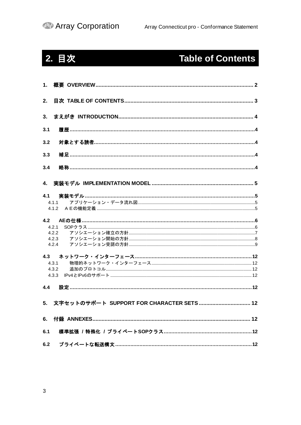# <span id="page-3-0"></span>2. 目次

# **Table of Contents**

| 1.             |              |
|----------------|--------------|
| 2.             |              |
| 3 <sub>1</sub> |              |
| 3.1            |              |
| 3.2            |              |
| 3.3            |              |
| 3.4            |              |
|                |              |
| 4.1            |              |
|                | 4.1.1<br>412 |
|                |              |
| 4.2            |              |
|                | 4.2.1        |
|                | 4.2.2        |
|                |              |
|                | 4.2.3        |
|                | 4.2.4        |
| 4.3            |              |
|                | 4.3.1        |
|                | 4.3.2        |
|                | 4.3.3        |
| 4.4            |              |
| 5.             |              |
|                |              |
| 6.1            |              |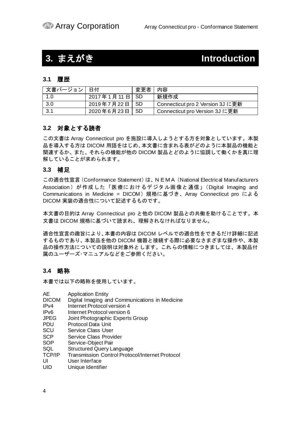## <span id="page-4-0"></span>**3.** まえがき **Introduction**

#### <span id="page-4-1"></span>**3.1** 履歴

| 文書バージョン   日付 |                 | 変更者丨内容 |                                  |
|--------------|-----------------|--------|----------------------------------|
| 1.0          | 2017年1月11日 SD   |        | 新規作成                             |
| 3.0          | 2019年7月22日 SD   |        | Connecticut pro 2 Version 3J に更新 |
| 3.1          | 2020年6月23日   SD |        | I Connecticut pro Version 3J に更新 |

#### <span id="page-4-2"></span>**3.2** 対象とする読者

この文書は Array Connecticut pro を施設に導入しようとする方を対象としています。本製 品を導入する方は DICOM 用語をはじめ、本文書に含まれる表がどのように本製品の機能と 関連するか、また、それらの機能が他の DICOM 製品とどのように協調して働くかを真に理 解していることが求められます。

#### <span id="page-4-3"></span>**3.3** 補足

この適合性宣言(Conformance Statement)は、NEMA(National Electrical Manufacturers Association) が作成した「医療におけるデジタル画像と通信」(Digital Imaging and Communications in Medicine = DICOM)規格に基づき、Array Connecticut pro による DICOM 実装の適合性について記述するものです。

本文書の目的は Array Connecticut pro と他の DICOM 製品との共働を助けることです。本 文書は DICOM 規格に基づいて読まれ、理解されなければなりません。

適合性宣言の趣旨により、本書の内容は DICOM レベルでの適合性をできるだけ詳細に記述 するものであり、本製品を他の DICOM 機器と接続する際に必要なさまざまな操作や、本製 品の操作方法についての説明は対象外とします。これらの情報につきましては、本製品付 属のユーザーズ・マニュアルなどをご参照ください。

#### <span id="page-4-4"></span>**3.4** 略称

本書では以下の略称を使用しています。

- AE Application Entity
- DICOM Digital Imaging and Communications in Medicine
- IPv4 Internet Protocol version 4
- IPv6 Internet Protocol version 6
- JPEG Joint Photographic Experts Group
- PDU Protocol Data Unit
- SCU Service Class User
- SCP Service Class Provider
- SOP Service-Object Pair
- SQL Structured Query Language<br>TCP/IP Transmission Control Protoc
- Transmission Control Protocol/Internet Protocol
- UI User Interface
- UID Unique Identifier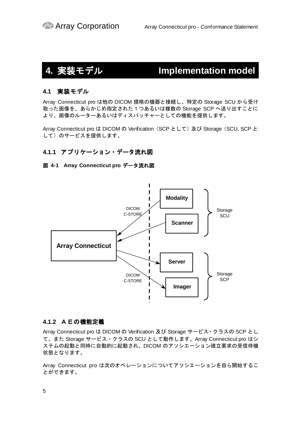# <span id="page-5-0"></span>**4.** 実装モデル **Implementation model**

#### <span id="page-5-1"></span>**4.1** 実装モデル

Array Connecticut pro は他の DICOM 規格の機器と接続し、特定の Storage SCU から受け 取った画像を、あらかじめ指定された1つあるいは複数の Storage SCP へ送り出すことに より、画像のルーターあるいはディスパッチャーとしての機能を提供します。

Array Connecticut pro は DICOM の Verification (SCP として) 及び Storage (SCU, SCP と して)のサービスを提供します。

#### <span id="page-5-2"></span>**4.1.1** アプリケーション・データ流れ図

#### 図 **4-1 Array Connecticut pro** データ流れ図



#### <span id="page-5-3"></span>**4.1.2** AEの機能定義

Array Connecticut pro は DICOM の Verification 及び Storage サービス・クラスの SCP とし て、また Storage サービス・クラスの SCU として動作します。Array Connecticut pro はシ ステムの起動と同時に自動的に起動され、DICOM のアソシエーション確立要求の受信待機 状態となります。

Array Connecticut pro は次のオペレーションについてアソシエーションを自ら開始するこ とができます。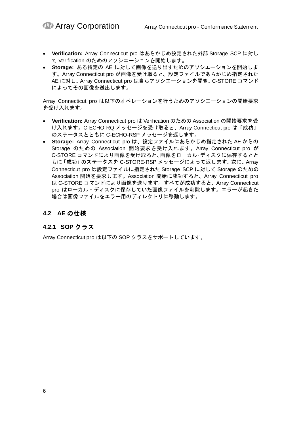- **Verification:** Array Connecticut pro はあらかじめ設定された外部 Storage SCP に対し て Verification のためのアソシエーションを開始します。
- **Storage:** ある特定の AE に対して画像を送り出すためのアソシエーションを開始しま す。Array Connecticut pro が画像を受け取ると、設定ファイルであらかじめ指定された AE に対し、Array Connecticut pro は自らアソシエーションを開き、C-STORE コマンド によってその画像を送出します。

Array Connecticut pro は以下のオペレーションを行うためのアソシエーションの開始要求 を受け入れます。

- **Verification:** Array Connecticut pro は Verification のための Association の開始要求を受 け入れます。C-ECHO-RQ メッセージを受け取ると、Array Connecticut pro は「成功」 のステータスとともに C-ECHO-RSP メッセージを返します。
- **Storage:** Array Connecticut pro は、設定ファイルにあらかじめ指定された AE からの Storage のための Association 開始要求を受け入れます。Array Connecticut pro が C-STORE コマンドにより画像を受け取ると、画像をローカル・ディスクに保存するとと もに「成功」のステータスを C-STORE-RSP メッセージによって返します。次に、Array Connecticut pro は設定ファイルに指定された Storage SCP に対して Storage のための Association 開始を要求します。Association 開始に成功すると、Array Connecticut pro は C-STORE コマンドにより画像を送ります。すべてが成功すると、Array Connecticut pro はローカル・ディスクに保存していた画像ファイルを削除します。エラーが起きた 場合は画像ファイルをエラー用のディレクトリに移動します。

### <span id="page-6-0"></span>**4.2 AE** の仕様

#### <span id="page-6-1"></span>**4.2.1 SOP** クラス

Array Connecticut pro は以下の SOP クラスをサポートしています。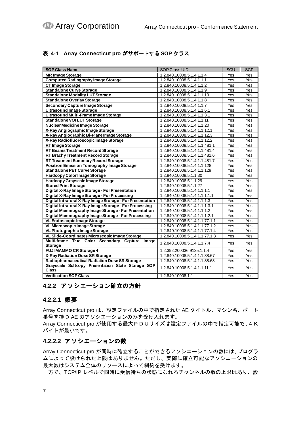#### <span id="page-7-1"></span>表 **4-1 Array Connecticut pro** がサポートする **SOP** クラス

| <b>SOP Class Name</b>                                               | <b>SOP Class UID</b>           | SCU | <b>SCP</b> |
|---------------------------------------------------------------------|--------------------------------|-----|------------|
| <b>MR Image Storage</b>                                             | 1.2.840.10008.5.1.4.1.1.4      | Yes | Yes        |
| <b>Computed Radiography Image Storage</b>                           | 1.2.840.10008.5.1.4.1.1.1      | Yes | Yes        |
| <b>CT Image Storage</b>                                             | 1.2.840.10008.5.1.4.1.1.2      | Yes | Yes        |
| <b>Standalone Curve Storage</b>                                     | 1.2.840.10008.5.1.4.1.1.9      | Yes | Yes        |
| <b>Standalone Modality LUT Storage</b>                              | 1.2.840.10008.5.1.4.1.1.10     | Yes | Yes        |
| <b>Standalone Overlay Storage</b>                                   | 1.2.840.10008.5.1.4.1.1.8      | Yes | Yes        |
| <b>Secondary Capture Image Storage</b>                              | 1.2.840.10008.5.1.4.1.1.7      | Yes | Yes        |
| <b>Ultrasound Image Storage</b>                                     | 1.2.840.10008.5.1.4.1.1.6.1    | Yes | Yes        |
| Ultrasound Multi-Frame Image Storage                                | 1.2.840.10008.5.1.4.1.1.3.1    | Yes | Yes        |
| <b>Standalone VOI LUT Storage</b>                                   | 1.2.840.10008.5.1.4.1.1.11     | Yes | Yes        |
| <b>Nuclear Medicine Image Storage</b>                               | 1.2.840.10008.5.1.4.1.1.20     | Yes | Yes        |
| X-Ray Angiographic Image Storage                                    | 1.2.840.10008.5.1.4.1.1.12.1   | Yes | Yes        |
| X-Ray Angiographic Bi-Plane Image Storage                           | 1.2.840.10008.5.1.4.1.1.12.3   | Yes | Yes        |
| X-Ray Radiofluoroscopic Image Storage                               | 1.2.840.10008.5.1.4.1.1.12.2   | Yes | Yes        |
| <b>RT Image Storage</b>                                             | 1.2.840.10008.5.1.4.1.1.481.1  | Yes | Yes        |
| <b>RT Beams Treatment Record Storage</b>                            | 1.2.840.10008.5.1.4.1.1.481.4  | Yes | Yes        |
| <b>RT Brachy Treatment Record Storage</b>                           | 1.2.840.10008.5.1.4.1.1.481.6  | Yes | Yes        |
| <b>RT Treatment Summary Record Storage</b>                          | 1.2.840.10008.5.1.4.1.1.481.7  | Yes | Yes        |
| <b>Positron Emission Tomography Image Storage</b>                   | 1.2.840.10008.5.1.4.1.1.128    | Yes | Yes        |
| <b>Standalone PET Curve Storage</b>                                 | 1.2.840.10008.5.1.4.1.1.129    | Yes | Yes        |
| <b>Hardcopy Color Image Storage</b>                                 | 1.2.840.10008.5.1.1.30         | Yes | Yes        |
| <b>Hardcopy Grayscale Image Storage</b>                             | 1.2.840.10008.5.1.1.29         | Yes | Yes        |
| <b>Stored Print Storage</b>                                         | 1.2.840.10008.5.1.1.27         | Yes | Yes        |
| Digital X-Ray Image Storage - For Presentation                      | 1.2.840.10008.5.1.4.1.1.1.1    | Yes | Yes        |
| Digital X-Ray Image Storage - For Processing                        | 1.2.840.10008.5.1.4.1.1.1.1.1  | Yes | Yes        |
| Digital Intra-oral X-Ray Image Storage - For Presentation           | 1.2.840.10008.5.1.4.1.1.1.3    | Yes | Yes        |
| Digital Intra-oral X-Ray Image Storage - For Processing             | 1.2.840.10008.5.1.4.1.1.1.3.1  | Yes | Yes        |
| Digital Mammography Image Storage - For Presentation                | 1.2.840.10008.5.1.4.1.1.1.2    | Yes | Yes        |
| Digital Mammography Image Storage - For Processing                  | 1.2.840.10008.5.1.4.1.1.1.2.1  | Yes | Yes        |
| <b>VL Endoscopic Image Storage</b>                                  | 1.2.840.10008.5.1.4.1.1.77.1.1 | Yes | Yes        |
| <b>VL Microscopic Image Storage</b>                                 | 1.2.840.10008.5.1.4.1.1.77.1.2 | Yes | Yes        |
| VL Photographic Image Storage                                       | 1.2.840.10008.5.1.4.1.1.77.1.4 | Yes | Yes        |
| VL Slide-Coordinates Microscopic Image Storage                      | 1.2.840.10008.5.1.4.1.1.77.1.3 | Yes | Yes        |
| Multi-frame True Color Secondary Capture<br>Image<br><b>Storage</b> | 1.2.840.10008.5.1.4.1.1.7.4    | Yes | Yes        |
| <b>FUJI MAMMO CR Storage 4</b>                                      | 1.2.392.200036.9125.1.1.4      | Yes | Yes        |
| X-Ray Radiation Dose SR Storage                                     | 1.2.840.10008.5.1.4.1.1.88.67  | Yes | Yes        |
| Radiopharmaceutical Radiation Dose SR Storage                       | 1.2.840.10008.5.1.4.1.1.88.68  | Yes | Yes        |
| Grayscale Softcopy Presentation State Storage SOP<br>Class          | 1.2.840.10008.5.1.4.1.1.11.1   | Yes | Yes        |
| <b>Verification SOP Class</b>                                       | 1.2.840.10008.1.1              | Yes | Yes        |

#### <span id="page-7-0"></span>**4.2.2** アソシエーション確立の方針

#### **4.2.2.1** 概要

Array Connecticut pro は、設定ファイルの中で指定された AE タイトル、マシン名、ポート 番号を持つ AE のアソシエーションのみを受け入れます。

Array Connecticut pro が使用する最大PDUサイズは設定ファイルの中で指定可能で、4K バイトが最小です。

#### **4.2.2.2** アソシエーションの数

Array Connecticut pro が同時に確立することができるアソシエーションの数には、プログラ ムによって設けられた上限はありません。ただし、実際に確立可能なアソシエーションの 最大数はシステム全体のリソースによって制約を受けます。

一方で、TCP/IP レベルで同時に受信待ちの状態になれるチャンネルの数の上限はあり、設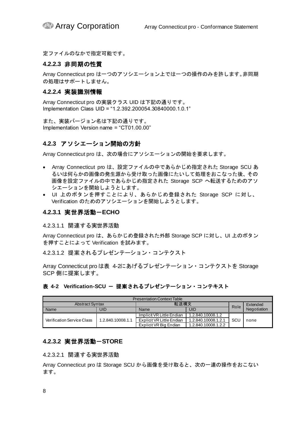定ファイルのなかで指定可能です。

#### **4.2.2.3** 非同期の性質

Array Connecticut pro は一つのアソシエーション上では一つの操作のみを許します。非同期 の処理はサポートしません。

#### **4.2.2.4** 実装識別情報

Array Connecticut pro の実装クラス UID は下記の通りです。 Implementation Class UID = "1.2.392.200054.30840000.1.0.1"

また、実装バージョン名は下記の通りです。 Implementation Version name = "CT01.00.00"

#### <span id="page-8-0"></span>**4.2.3** アソシエーション開始の方針

Array Connecticut pro は、次の場合にアソシエーションの開始を要求します。

- Array Connecticut pro は、設定ファイルの中であらかじめ指定された Storage SCU あ るいは何らかの画像の発生源から受け取った画像にたいして処理をおこなった後、その 画像を設定ファイルの中であらかじめ指定された Storage SCP へ転送するためのアソ シエーションを開始しようとします。
- UI 上のボタンを押すことにより、あらかじめ登録された Storage SCP に対し、 Verification のためのアソシエーションを開始しようとします。

#### **4.2.3.1** 実世界活動-**ECHO**

4.2.3.1.1 関連する実世界活動

Array Connecticut pro は、あらかじめ登録された外部 Storage SCP に対し、UI 上のボタン を押すことによって Verification を試みます。

4.2.3.1.2 提案されるプレゼンテーション・コンテクスト

Array Connecticut pro [は表](#page-8-1) 4[-2](#page-8-1)にあげるプレゼンテーション・コンテクストを Storage SCP 側に提案します。

#### <span id="page-8-1"></span>表 4-2 Verification-SCU - 提案されるプレゼンテーション・コンテキスト

| <b>Presentation Context Table</b> |                   |                           |                     |          |             |
|-----------------------------------|-------------------|---------------------------|---------------------|----------|-------------|
| 転送構文<br><b>Abstract Syntax</b>    |                   |                           | Role                | Extended |             |
| Name                              | uid               | UID<br>Name               |                     |          | Negotiation |
|                                   |                   | Implicit VR Little Endian | 1.2.840.10008.1.2   |          |             |
| <b>Verification Service Class</b> | 1.2.840.10008.1.1 | Explicit VR Little Endian | 1.2.840.10008.1.2.1 | SCI      | none        |
|                                   |                   | Explicit VR Big Endian    | 1.2.840.10008.1.2.2 |          |             |

#### **4.2.3.2** 実世界活動-**STORE**

4.2.3.2.1 関連する実世界活動

Array Connecticut pro は Storage SCU から画像を受け取ると、次の一連の操作をおこない ます。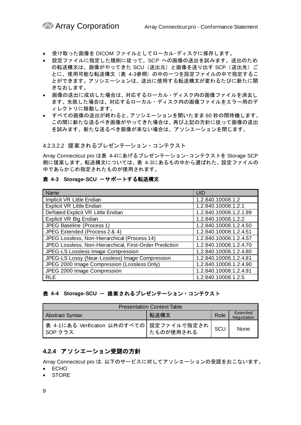- 受け取った画像を DICOM ファイルとしてローカル・ディスクに保存します。
- 設定ファイルに指定した規則に従って、SCP への画像の送出を試みます。送出のため の転送構文は、画像がやってきた SCU(送出元)と画像を送り出す SCP(送出先)ご とに、使用可能な転送構文[\(表](#page-9-1) 4[-3](#page-9-1)参照)の中の一つを設定ファイルの中で指定するこ とができます。アソシエーションは、送出に使用する転送構文が変わるたびに新たに開 きなおします。
- 画像の送出に成功した場合は、対応するローカル・ディスク内の画像ファイルを消去し ます。失敗した場合は、対応するローカル・ディスク内の画像ファイルをエラー用のデ ィレクトリに移動します。
- すべての画像の送出が終わると、アソシエーションを開いたまま 60 秒の間待機します。 この間に新たな送るべき画像がやってきた場合は、再び上記の方針に従って画像の送出 を試みます。新たな送るべき画像が来ない場合は、アソシエーションを閉じます。

4.2.3.2.2 提案されるプレゼンテーション・コンテクスト

Array Connecticut pro [は表](#page-9-2) 4[-4](#page-9-2)にあげるプレゼンテーション・コンテクストを Storage SCP 側に提案します。転送構文については[、表](#page-9-1) 4[-3](#page-9-1)にあるもの中から選ばれた、設定ファイルの 中であらかじめ指定されたものが使用されます。

#### <span id="page-9-1"></span>表 4-3 Storage-SCU ーサポートする転送構文

| Name                                                    | <b>UID</b>             |
|---------------------------------------------------------|------------------------|
| Implicit VR Little Endian                               | 1.2.840.10008.1.2      |
| <b>Explicit VR Little Endian</b>                        | 1.2.840.10008.1.2.1    |
| Deflated Explicit VR Little Endian                      | 1.2.840.10008.1.2.1.99 |
| Explicit VR Big Endian                                  | 1.2.840.10008.1.2.2    |
| JPEG Baseline (Process 1)                               | 1.2.840.10008.1.2.4.50 |
| JPEG Extended (Process 2 & 4)                           | 1.2.840.10008.1.2.4.51 |
| JPEG Lossless, Non-Hierarchical (Process 14)            | 1.2.840.10008.1.2.4.57 |
| JPEG Lossless, Non-Hierarchical, First-Order Prediction | 1.2.840.10008.1.2.4.70 |
| JPEG-LS Lossless Image Compression                      | 1.2.840.10008.1.2.4.80 |
| JPEG-LS Lossy (Near-Lossless) Image Compression         | 1.2.840.10008.1.2.4.81 |
| JPEG 2000 Image Compression (Lossless Only)             | 1.2.840.10008.1.2.4.90 |
| JPEG 2000 Image Compression                             | 1.2.840.10008.1.2.4.91 |
| <b>RLE</b>                                              | 1.2.840.10008.1.2.5    |

#### <span id="page-9-2"></span>表 4-4 Storage-SCU - 提案されるプレゼンテーション・コンテクスト

| <b>Presentation Context Table</b>                                 |           |     |      |  |
|-------------------------------------------------------------------|-----------|-----|------|--|
| Extended<br>転送構文<br>Role<br><b>Abstract Syntax</b><br>Negotiation |           |     |      |  |
| ┃表 4-1にある Verification 以外のすべての│設定ファイルで指定され<br>SOP クラス             | たものが使用される | SCU | None |  |

### <span id="page-9-0"></span>**4.2.4** アソシエーション受諾の方針

Array Connecticut pro は,以下のサービスに対してアソシエーションの受諾をおこないます。

- ECHO
- STORE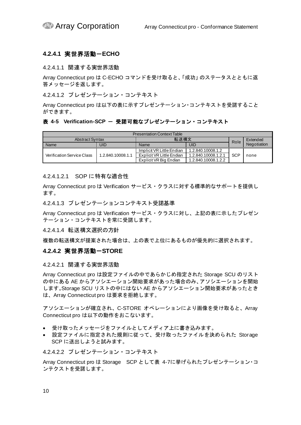#### **4.2.4.1** 実世界活動-**ECHO**

#### 4.2.4.1.1 関連する実世界活動

Array Connecticut pro は C-ECHO コマンドを受け取ると、「成功」のステータスとともに返 答メッセージを返します。

4.2.4.1.2 プレゼンテーション・コンテキスト

Array Connecticut pro は以下の表に示すプレゼンテーション・コンテキストを受諾すること ができます。

#### 表 4-5 Verification-SCP - 受諾可能なプレゼンテーション・コンテキスト

| <b>Presentation Context Table</b> |                   |                           |                     |            |             |
|-----------------------------------|-------------------|---------------------------|---------------------|------------|-------------|
| 転送構文<br><b>Abstract Syntax</b>    |                   |                           | Role                | Extended   |             |
| Name                              | UID               | UID<br>Name               |                     |            | Negotiation |
|                                   |                   | Implicit VR Little Endian | 1.2.840.10008.1.2   |            |             |
| <b>Verification Service Class</b> | 1.2.840.10008.1.1 | Explicit VR Little Endian | 1.2.840.10008.1.2.1 | <b>SCP</b> | none        |
|                                   |                   | Explicit VR Big Endian    | 1.2.840.10008.1.2.2 |            |             |

#### 4.2.4.1.2.1 SOP に特有な適合性

Array Connecticut pro は Verification サービス・クラスに対する標準的なサポートを提供し ます。

4.2.4.1.3 プレゼンテーションコンテキスト受諾基準

Array Connecticut pro は Verification サービス・クラスに対し、上記の表に示したプレゼン テーション・コンテキストを常に受諾します。

4.2.4.1.4 転送構文選択の方針

複数の転送構文が提案された場合は、上の表で上位にあるものが優先的に選択されます。

#### **4.2.4.2** 実世界活動-**STORE**

#### 4.2.4.2.1 関連する実世界活動

Array Connecticut pro は設定ファイルの中であらかじめ指定された Storage SCU のリスト の中にある AE からアソシエーション開始要求があった場合のみ、アソシエーションを開始 します。Storage SCU リストの中にはない AE からアソシエーション開始要求があったとき は、Array Connecticut pro は要求を拒絶します。

アソシエーションが確立され、C-STORE オペレーションにより画像を受け取ると、Array Connecticut pro は以下の動作をおこないます。

- 受け取ったメッセージをファイルとしてメディア上に書き込みます。
- 設定ファイルに指定された規則に従って、受け取ったファイルを決められた Storage SCP に送出しようと試みます。

4.2.4.2.2 プレゼンテーション・コンテキスト

Array Connecticut pro は Storage SCP とし[て表](#page-11-0) 4[-7](#page-11-0)に挙げられたプレゼンテーション・コ ンテクストを受諾します。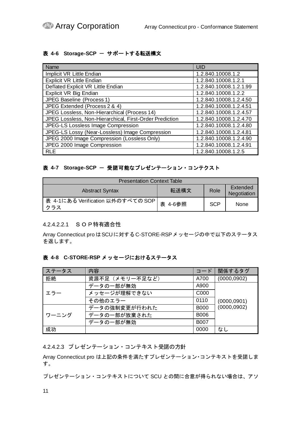#### <span id="page-11-1"></span>表 4-6 Storage-SCP - サポートする転送構文

| Name                                                    | <b>UID</b>             |
|---------------------------------------------------------|------------------------|
| Implicit VR Little Endian                               | 1.2.840.10008.1.2      |
| <b>Explicit VR Little Endian</b>                        | 1.2.840.10008.1.2.1    |
| Deflated Explicit VR Little Endian                      | 1.2.840.10008.1.2.1.99 |
| Explicit VR Big Endian                                  | 1.2.840.10008.1.2.2    |
| JPEG Baseline (Process 1)                               | 1.2.840.10008.1.2.4.50 |
| JPEG Extended (Process 2 & 4)                           | 1.2.840.10008.1.2.4.51 |
| JPEG Lossless, Non-Hierarchical (Process 14)            | 1.2.840.10008.1.2.4.57 |
| JPEG Lossless, Non-Hierarchical, First-Order Prediction | 1.2.840.10008.1.2.4.70 |
| JPEG-LS Lossless Image Compression                      | 1.2.840.10008.1.2.4.80 |
| JPEG-LS Lossy (Near-Lossless) Image Compression         | 1.2.840.10008.1.2.4.81 |
| JPEG 2000 Image Compression (Lossless Only)             | 1.2.840.10008.1.2.4.90 |
| JPEG 2000 Image Compression                             | 1.2.840.10008.1.2.4.91 |
| <b>RLE</b>                                              | 1.2.840.10008.1.2.5    |

#### <span id="page-11-0"></span>表 4-7 Storage-SCP - 受諾可能なプレゼンテーション・コンテクスト

| <b>Presentation Context Table</b>          |         |            |                         |  |
|--------------------------------------------|---------|------------|-------------------------|--|
| <b>Abstract Syntax</b>                     | 転送構文    | Role       | Extended<br>Negotiation |  |
| 表 4-1にある Verification 以外のすべての SOP  <br>クラス | 表 4-6参照 | <b>SCP</b> | None                    |  |

#### 4.2.4.2.2.1 SOP特有適合性

Array Connecticut pro はSCUに対するC-STORE-RSPメッセージの中で以下のステータス を返します。

#### 表 **4-8 C-STORE-RSP** メッセージにおけるステータス

| ステータス | 内容              | コード         | 関係するタグ       |
|-------|-----------------|-------------|--------------|
| 拒絶    | 資源不足 (メモリー不足など) | A700        | (0000, 0902) |
|       | データの一部が無効       | A900        |              |
| エラー   | メッセージが理解できない    | C000        |              |
|       | その他のエラー         | 0110        | (0000, 0901) |
|       | データの強制変更が行われた   | <b>B000</b> | (0000, 0902) |
| ワーニング | データの一部が放棄された    | <b>B006</b> |              |
|       | データの一部が無効       | <b>B007</b> |              |
| 成功    |                 | 0000        | なし           |

4.2.4.2.3 プレゼンテーション・コンテキスト受諾の方針

Array Connecticut pro は上記の条件を満たすプレゼンテーション・コンテキストを受諾しま す。

プレゼンテーション・コンテキストについて SCU との間に合意が得られない場合は、アソ